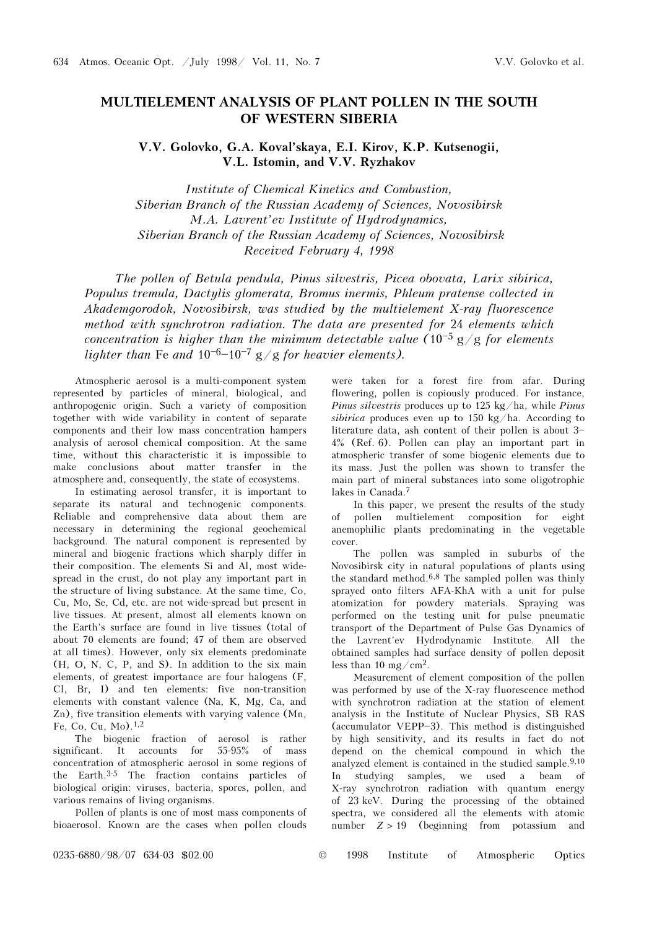## MULTIELEMENT ANALYSIS OF PLANT POLLEN IN THE SOUTH OF WESTERN SIBERIA

V.V. Golovko, G.A. Koval'skaya, E.I. Kirov, K.P. Kutsenogii, V.L. Istomin, and V.V. Ryzhakov

Institute of Chemical Kinetics and Combustion, Siberian Branch of the Russian Academy of Sciences, Novosibirsk M.A. Lavrent'ev Institute of Hydrodynamics, Siberian Branch of the Russian Academy of Sciences, Novosibirsk Received February 4, 1998

The pollen of Betula pendula, Pinus silvestris, Picea obovata, Larix sibirica, Populus tremula, Dactylis glomerata, Bromus inermis, Phleum pratense collected in Akademgorodok, Novosibirsk, was studied by the multielement X-ray fluorescence method with synchrotron radiation. The data are presented for 24 elements which concentration is higher than the minimum detectable value (10<sup>-5</sup> g/g for elements lighter than Fe and  $10^{-6}$ – $10^{-7}$  g/g for heavier elements).

Atmospheric aerosol is a multi-component system represented by particles of mineral, biological, and anthropogenic origin. Such a variety of composition together with wide variability in content of separate components and their low mass concentration hampers analysis of aerosol chemical composition. At the same time, without this characteristic it is impossible to make conclusions about matter transfer in the atmosphere and, consequently, the state of ecosystems.

In estimating aerosol transfer, it is important to separate its natural and technogenic components. Reliable and comprehensive data about them are necessary in determining the regional geochemical background. The natural component is represented by mineral and biogenic fractions which sharply differ in their composition. The elements Si and Al, most widespread in the crust, do not play any important part in the structure of living substance. At the same time, Co, Cu, Mo, Se, Cd, etc. are not wide-spread but present in live tissues. At present, almost all elements known on the Earth's surface are found in live tissues (total of about 70 elements are found; 47 of them are observed at all times). However, only six elements predominate (H, O, N, C, P, and S). In addition to the six main elements, of greatest importance are four halogens (F, Cl, Br, I) and ten elements: five non-transition elements with constant valence (Na, K, Mg, Ca, and Zn), five transition elements with varying valence (Mn, Fe, Co, Cu, Mo).1,2

The biogenic fraction of aerosol is rather significant. It accounts for 55-95% of mass concentration of atmospheric aerosol in some regions of the Earth.3-5 The fraction contains particles of biological origin: viruses, bacteria, spores, pollen, and various remains of living organisms.

Pollen of plants is one of most mass components of bioaerosol. Known are the cases when pollen clouds

were taken for a forest fire from afar. During flowering, pollen is copiously produced. For instance, *Pinus silvestris* produces up to 125 kg/ha, while *Pinus* sibirica produces even up to 150 kg/ha. According to literature data, ash content of their pollen is about  $3-$ 4% (Ref. 6). Pollen can play an important part in atmospheric transfer of some biogenic elements due to its mass. Just the pollen was shown to transfer the main part of mineral substances into some oligotrophic lakes in Canada.<sup>7</sup>

In this paper, we present the results of the study of pollen multielement composition for eight anemophilic plants predominating in the vegetable cover.

The pollen was sampled in suburbs of the Novosibirsk city in natural populations of plants using the standard method.6,8 The sampled pollen was thinly sprayed onto filters AFA-KhA with a unit for pulse atomization for powdery materials. Spraying was performed on the testing unit for pulse pneumatic transport of the Department of Pulse Gas Dynamics of the Lavrent'ev Hydrodynamic Institute. All the obtained samples had surface density of pollen deposit less than 10 mg/cm<sup>2</sup>.

Measurement of element composition of the pollen was performed by use of the X-ray fluorescence method with synchrotron radiation at the station of element analysis in the Institute of Nuclear Physics, SB RAS  $(\text{accumulator VEPP-3})$ . This method is distinguished by high sensitivity, and its results in fact do not depend on the chemical compound in which the analyzed element is contained in the studied sample.9,10 In studying samples, we used a beam of X-ray synchrotron radiation with quantum energy of 23 keV. During the processing of the obtained spectra, we considered all the elements with atomic number  $Z > 19$  (beginning from potassium and

0235-6880/98/07 634-03 \$02.00 © 1998 Institute of Atmospheric Optics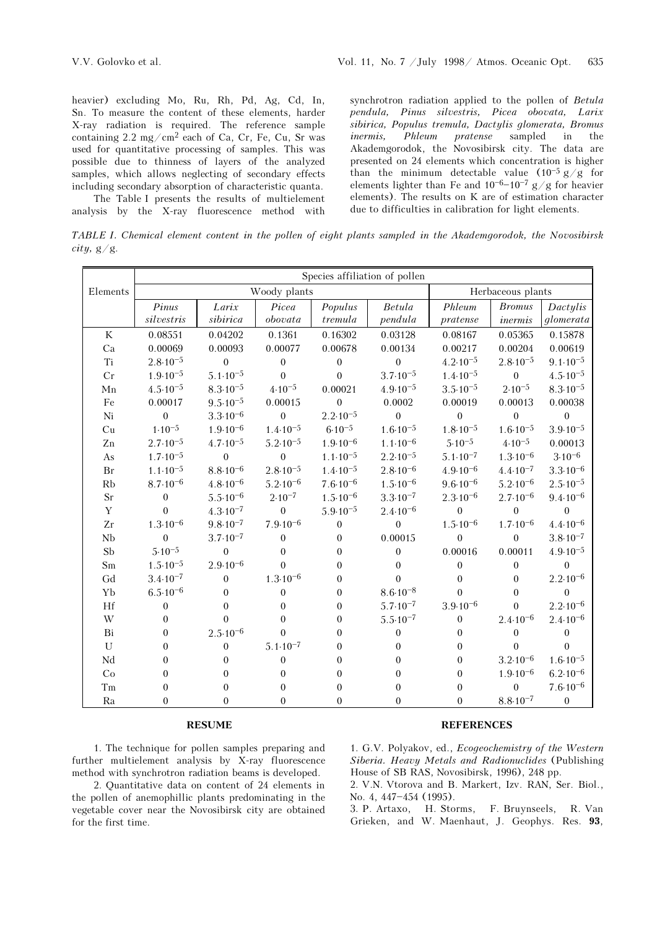heavier) excluding Mo, Ru, Rh, Pd, Ag, Cd, In, Sn. To measure the content of these elements, harder X-ray radiation is required. The reference sample containing 2.2 mg/cm2 each of Ca, Cr, Fe, Cu, Sr was used for quantitative processing of samples. This was possible due to thinness of layers of the analyzed samples, which allows neglecting of secondary effects including secondary absorption of characteristic quanta.

The Table I presents the results of multielement analysis by the X-ray fluorescence method with synchrotron radiation applied to the pollen of Betula pendula, Pinus silvestris, Picea obovata, Larix sibirica, Populus tremula, Dactylis glomerata, Bromus inermis, Phleum pratense sampled in the Akademgorodok, the Novosibirsk city. The data are presented on 24 elements which concentration is higher than the minimum detectable value  $(10^{-5} g/g$  for elements lighter than Fe and  $10^{-6}-10^{-7}$  g/g for heavier elements). The results on K are of estimation character due to difficulties in calibration for light elements.

TABLE I. Chemical element content in the pollen of eight plants sampled in the Akademgorodok, the Novosibirsk  $city, g/g.$ 

|             | Species affiliation of pollen |                     |                     |                     |                     |                     |                     |                     |
|-------------|-------------------------------|---------------------|---------------------|---------------------|---------------------|---------------------|---------------------|---------------------|
| Elements    | Woody plants                  |                     |                     |                     |                     | Herbaceous plants   |                     |                     |
|             | Pinus                         | Larix               | Picea               | Populus             | Betula              | Phleum              | <b>Bromus</b>       | Dactylis            |
|             | silvestris                    | sibirica            | obovata             | tremula             | pendula             | pratense            | inermis             | glomerata           |
| $\rm K$     | 0.08551                       | 0.04202             | 0.1361              | 0.16302             | 0.03128             | 0.08167             | 0.05365             | 0.15878             |
| Ca          | 0.00069                       | 0.00093             | 0.00077             | 0.00678             | 0.00134             | 0.00217             | 0.00204             | 0.00619             |
| Ti          | $2.8 \cdot 10^{-5}$           | $\boldsymbol{0}$    | $\boldsymbol{0}$    | $\boldsymbol{0}$    | $\boldsymbol{0}$    | $4.2 \cdot 10^{-5}$ | $2.8 \cdot 10^{-5}$ | $9.1 \cdot 10^{-5}$ |
| Cr          | $1.9 \cdot 10^{-5}$           | $5.1 \cdot 10^{-5}$ | $\theta$            | $\theta$            | $3.7 \cdot 10^{-5}$ | $1.4 \cdot 10^{-5}$ | $\boldsymbol{0}$    | $4.5 \cdot 10^{-5}$ |
| Mn          | $4.5 \cdot 10^{-5}$           | $8.3 \cdot 10^{-5}$ | $4.10^{-5}$         | 0.00021             | $4.9 \cdot 10^{-5}$ | $3.5 \cdot 10^{-5}$ | $2.10^{-5}$         | $8.3 \cdot 10^{-5}$ |
| Fe          | 0.00017                       | $9.5 \cdot 10^{-5}$ | 0.00015             | $\theta$            | 0.0002              | 0.00019             | 0.00013             | 0.00038             |
| Ni          | $\theta$                      | $3.3 \cdot 10^{-6}$ | $\mathbf{0}$        | $2.2 \cdot 10^{-5}$ | $\theta$            | $\theta$            | $\boldsymbol{0}$    | $\boldsymbol{0}$    |
| Cu          | $1.10^{-5}$                   | $1.9.10^{-6}$       | $1.4 \cdot 10^{-5}$ | $6.10^{-5}$         | $1.6 \cdot 10^{-5}$ | $1.8 \cdot 10^{-5}$ | $1.6 \cdot 10^{-5}$ | $3.9.10^{-5}$       |
| Zn          | $2.7 \cdot 10^{-5}$           | $4.7 \cdot 10^{-5}$ | $5.2 \cdot 10^{-5}$ | $1.9.10^{-6}$       | $1.1 \cdot 10^{-6}$ | $5.10^{-5}$         | $4.10^{-5}$         | 0.00013             |
| As          | $1.7 \cdot 10^{-5}$           | $\boldsymbol{0}$    | $\boldsymbol{0}$    | $1.1 \cdot 10^{-5}$ | $2.2 \cdot 10^{-5}$ | $5.1 \cdot 10^{-7}$ | $1.3 \cdot 10^{-6}$ | $3.10^{-6}$         |
| <b>Br</b>   | $1.1 \cdot 10^{-5}$           | $8.8 \cdot 10^{-6}$ | $2.8 \cdot 10^{-5}$ | $1.4 \cdot 10^{-5}$ | $2.8 \cdot 10^{-6}$ | $4.9.10^{-6}$       | $4.4 \cdot 10^{-7}$ | $3.3 \cdot 10^{-6}$ |
| Rb          | $8.7 \cdot 10^{-6}$           | $4.8 \cdot 10^{-6}$ | $5.2 \cdot 10^{-6}$ | $7.6 \cdot 10^{-6}$ | $1.5 \cdot 10^{-6}$ | $9.6 \cdot 10^{-6}$ | $5.2 \cdot 10^{-6}$ | $2.5 \cdot 10^{-5}$ |
| Sr          | $\boldsymbol{0}$              | $5.5 \cdot 10^{-6}$ | $2.10^{-7}$         | $1.5 \cdot 10^{-6}$ | $3.3 \cdot 10^{-7}$ | $2.3 \cdot 10^{-6}$ | $2.7 \cdot 10^{-6}$ | $9.4 \cdot 10^{-6}$ |
| $\mathbf Y$ | $\theta$                      | $4.3 \cdot 10^{-7}$ | $\theta$            | $5.9.10^{-5}$       | $2.4 \cdot 10^{-6}$ | $\theta$            | $\theta$            | $\Omega$            |
| Zr          | $1.3 \cdot 10^{-6}$           | $9.8 \cdot 10^{-7}$ | $7.9.10^{-6}$       | $\boldsymbol{0}$    | $\boldsymbol{0}$    | $1.5 \cdot 10^{-6}$ | $1.7 \cdot 10^{-6}$ | $4.4 \cdot 10^{-6}$ |
| Nb          | $\boldsymbol{0}$              | $3.7 \cdot 10^{-7}$ | $\boldsymbol{0}$    | $\mathbf{0}$        | 0.00015             | $\boldsymbol{0}$    | $\boldsymbol{0}$    | $3.8 \cdot 10^{-7}$ |
| Sb          | $5.10^{-5}$                   | $\boldsymbol{0}$    | $\theta$            | $\theta$            | $\overline{0}$      | 0.00016             | 0.00011             | $4.9.10^{-5}$       |
| Sm          | $1.5 \cdot 10^{-5}$           | $2.9.10^{-6}$       | $\theta$            | $\mathbf{0}$        | $\boldsymbol{0}$    | $\boldsymbol{0}$    | $\boldsymbol{0}$    | $\theta$            |
| Gd          | $3.4 \cdot 10^{-7}$           | $\boldsymbol{0}$    | $1.3 \cdot 10^{-6}$ | $\overline{0}$      | $\theta$            | $\boldsymbol{0}$    | $\mathbf{0}$        | $2.2 \cdot 10^{-6}$ |
| Yb          | $6.5.10^{-6}$                 | $\Omega$            | $\mathbf{0}$        | $\theta$            | $8.6 \cdot 10^{-8}$ | $\theta$            | $\theta$            | $\theta$            |
| Hf          | $\boldsymbol{0}$              | $\boldsymbol{0}$    | $\theta$            | $\mathbf{0}$        | $5.7 \cdot 10^{-7}$ | $3.9.10^{-6}$       | $\theta$            | $2.2 \cdot 10^{-6}$ |
| W           | $\boldsymbol{0}$              | $\theta$            | $\theta$            | $\mathbf{0}$        | $5.5 \cdot 10^{-7}$ | $\boldsymbol{0}$    | $2.4 \cdot 10^{-6}$ | $2.4 \cdot 10^{-6}$ |
| Bi          | $\overline{0}$                | $2.5 \cdot 10^{-6}$ | $\mathbf{0}$        | $\theta$            | $\boldsymbol{0}$    | $\theta$            | $\boldsymbol{0}$    | $\boldsymbol{0}$    |
| $\mathbf U$ | $\boldsymbol{0}$              | $\mathbf{0}$        | $5.1 \cdot 10^{-7}$ | $\overline{0}$      | $\boldsymbol{0}$    | 0                   | $\mathbf{0}$        | $\Omega$            |
| Nd          | $\boldsymbol{0}$              | $\theta$            | $\boldsymbol{0}$    | $\theta$            | $\boldsymbol{0}$    | $\boldsymbol{0}$    | $3.2 \cdot 10^{-6}$ | $1.6 \cdot 10^{-5}$ |
| Co          | $\boldsymbol{0}$              | $\theta$            | $\theta$            | $\overline{0}$      | $\overline{0}$      | $\boldsymbol{0}$    | $1.9 \cdot 10^{-6}$ | $6.2 \cdot 10^{-6}$ |
| Tm          | $\boldsymbol{0}$              | $\boldsymbol{0}$    | $\boldsymbol{0}$    | $\mathbf{0}$        | $\boldsymbol{0}$    | $\mathbf{0}$        | $\mathbf{0}$        | $7.6 \cdot 10^{-6}$ |
| Ra          | 0                             | $\theta$            | $\mathbf{0}$        | $\theta$            | 0                   | 0                   | $8.8 \cdot 10^{-7}$ | $\mathbf{0}$        |

## RESUME

1. The technique for pollen samples preparing and further multielement analysis by X-ray fluorescence method with synchrotron radiation beams is developed.

2. Quantitative data on content of 24 elements in the pollen of anemophillic plants predominating in the vegetable cover near the Novosibirsk city are obtained for the first time.

## **REFERENCES**

1. G.V. Polyakov, ed., Ecogeochemistry of the Western Siberia. Heavy Metals and Radionuclides (Publishing House of SB RAS, Novosibirsk, 1996), 248 pp.

2. V.N. Vtorova and B. Markert, Izv. RAN, Ser. Biol., No. 4, 447-454 (1995).

3. P. Artaxo, H. Storms, F. Bruynseels, R. Van Grieken, and W. Maenhaut, J. Geophys. Res. 93,